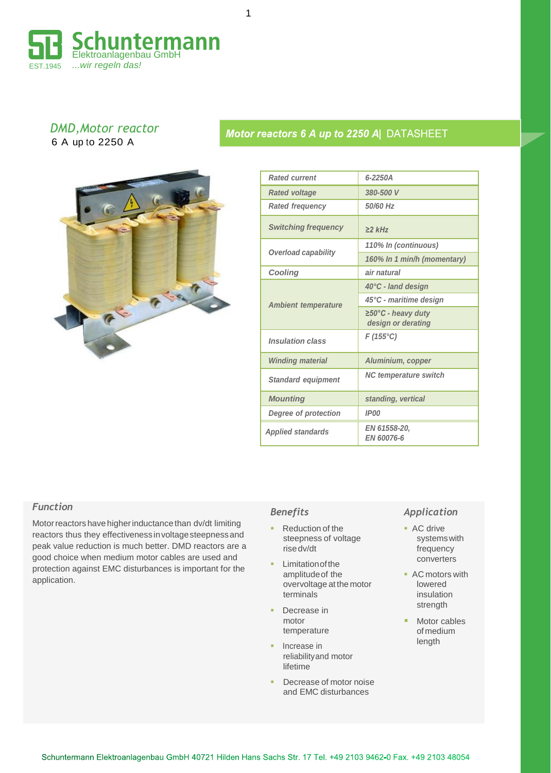

1

### *DMD,Motor reactor* 6 A up to 2250 A



| <b>Rated current</b>        | 6-2250A                                                |  |  |  |  |  |  |
|-----------------------------|--------------------------------------------------------|--|--|--|--|--|--|
| <b>Rated voltage</b>        | 380-500 V                                              |  |  |  |  |  |  |
| <b>Rated frequency</b>      | 50/60 Hz                                               |  |  |  |  |  |  |
| <b>Switching frequency</b>  | $\geq$ 2 kHz                                           |  |  |  |  |  |  |
|                             | 110% In (continuous)                                   |  |  |  |  |  |  |
| <b>Overload capability</b>  | 160% In 1 min/h (momentary)                            |  |  |  |  |  |  |
| Cooling                     | air natural                                            |  |  |  |  |  |  |
|                             | 40°C - land design                                     |  |  |  |  |  |  |
| <b>Ambient temperature</b>  | 45°C - maritime design                                 |  |  |  |  |  |  |
|                             | $\geq 50^{\circ}$ C - heavy duty<br>design or derating |  |  |  |  |  |  |
| <b>Insulation class</b>     | $F(155^{\circ}C)$                                      |  |  |  |  |  |  |
| <b>Winding material</b>     | Aluminium, copper                                      |  |  |  |  |  |  |
| <b>Standard equipment</b>   | <b>NC temperature switch</b>                           |  |  |  |  |  |  |
| <b>Mounting</b>             | standing, vertical                                     |  |  |  |  |  |  |
| <b>Degree of protection</b> | <b>IP00</b>                                            |  |  |  |  |  |  |
| <b>Applied standards</b>    | EN 61558-20.<br>EN 60076-6                             |  |  |  |  |  |  |

Motor reactors 6 A up to 2250 A DATASHEET

#### *Function*

Motor reactors have higher inductance than dv/dt limiting reactors thus they effectiveness involtagesteepnessand peak value reduction is much better. DMD reactors are a good choice when medium motor cables are used and protection against EMC disturbances is important for the application.

#### *Benefits*

- Reduction of the steepness of voltage risedv/dt
- **Limitation of the** amplitudeof the overvoltage at the motor terminals
- Decrease in motor temperature
- Increase in reliabilityand motor **lifetime**
- Decrease of motor noise and EMC disturbances

### *Application*

- AC drive systemswith frequency converters
- AC motors with lowered insulation strength
- Motor cables of medium length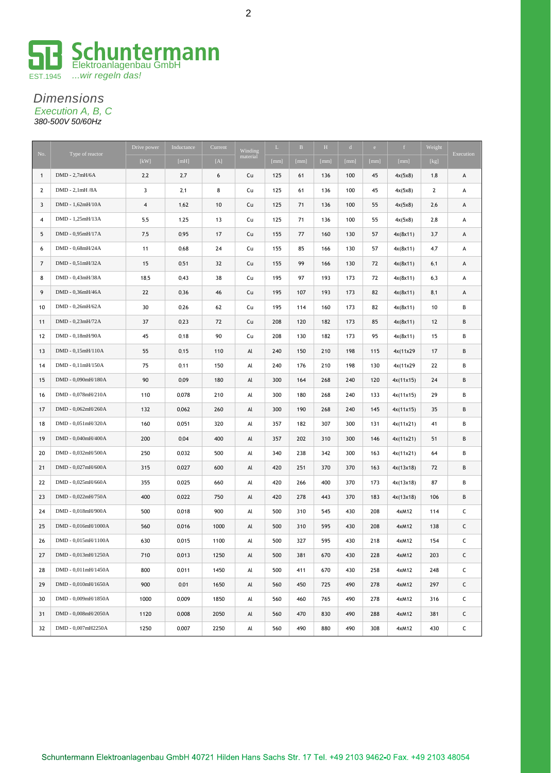

#### *Dimensions Execution A, B, C 380-500V 50/60Hz*

| No.            | Type of reactor     | Drive power             | Inductance | Current | Winding  | L    | $\mathbf{B}$ | H    | $\mathbf{d}$ | e    | f         | Weight         | Execution |
|----------------|---------------------|-------------------------|------------|---------|----------|------|--------------|------|--------------|------|-----------|----------------|-----------|
|                |                     | [kW]                    | [mH]       | [A]     | material | [mm] | [mm]         | [mm] | [mm]         | [mm] | [mm]      | [kg]           |           |
| $\mathbf{1}$   | DMD - 2,7mH/6A      | 2,2                     | 2,7        | 6       | Cu       | 125  | 61           | 136  | 100          | 45   | 4x(5x8)   | 1,8            | А         |
| $\overline{2}$ | DMD - 2,1mH /8A     | 3                       | 2,1        | 8       | Cu       | 125  | 61           | 136  | 100          | 45   | 4x(5x8)   | $\overline{2}$ | А         |
| 3              | DMD - 1,62mH/10A    | $\overline{\mathbf{4}}$ | 1,62       | 10      | Cu       | 125  | 71           | 136  | 100          | 55   | 4x(5x8)   | 2,6            | А         |
| 4              | DMD - 1,25mH/13A    | 5,5                     | 1,25       | 13      | Cu       | 125  | 71           | 136  | 100          | 55   | 4x(5x8)   | 2,8            | А         |
| 5              | DMD - 0,95mH/17A    | 7,5                     | 0,95       | 17      | Cu       | 155  | 77           | 160  | 130          | 57   | 4x(8x11)  | 3,7            | А         |
| 6              | DMD - 0,68mH/24A    | 11                      | 0.68       | 24      | Cu       | 155  | 85           | 166  | 130          | 57   | 4x(8x11)  | 4,7            | А         |
| $\overline{7}$ | DMD - 0,51mH/32A    | 15                      | 0,51       | 32      | Cu       | 155  | 99           | 166  | 130          | 72   | 4x(8x11)  | 6,1            | А         |
| 8              | DMD - 0,43mH/38A    | 18,5                    | 0,43       | 38      | Cu       | 195  | 97           | 193  | 173          | 72   | 4x(8x11)  | 6,3            | А         |
| 9              | DMD - 0,36mH/46A    | 22                      | 0,36       | 46      | Cu       | 195  | 107          | 193  | 173          | 82   | 4x(8x11)  | 8,1            | А         |
| 10             | DMD - 0,26mH/62A    | 30                      | 0,26       | 62      | Cu       | 195  | 114          | 160  | 173          | 82   | 4x(8x11)  | 10             | В         |
| 11             | DMD - 0,23mH/72A    | 37                      | 0,23       | 72      | Cu       | 208  | 120          | 182  | 173          | 85   | 4x(8x11)  | 12             | В         |
| 12             | DMD - 0,18mH/90A    | 45                      | 0,18       | 90      | Cu       | 208  | 130          | 182  | 173          | 95   | 4x(8x11)  | 15             | В         |
| 13             | DMD - 0,15mH/110A   | 55                      | 0,15       | 110     | Al       | 240  | 150          | 210  | 198          | 115  | 4x(11x29) | 17             | В         |
| 14             | DMD - 0,11mH/150A   | 75                      | 0,11       | 150     | Al       | 240  | 176          | 210  | 198          | 130  | 4x(11x29  | 22             | В         |
| 15             | DMD - 0,090mH/180A  | 90                      | 0.09       | 180     | Al       | 300  | 164          | 268  | 240          | 120  | 4x(11x15) | 24             | В         |
| 16             | DMD - 0,078mH/210A  | 110                     | 0,078      | 210     | Al       | 300  | 180          | 268  | 240          | 133  | 4x(11x15) | 29             | В         |
| 17             | DMD - 0,062mH/260A  | 132                     | 0,062      | 260     | Al       | 300  | 190          | 268  | 240          | 145  | 4x(11x15) | 35             | В         |
| 18             | DMD - 0,051mH/320A  | 160                     | 0,051      | 320     | Al       | 357  | 182          | 307  | 300          | 131  | 4x(11x21) | 41             | В         |
| 19             | DMD - 0,040mH/400A  | 200                     | 0,04       | 400     | Al       | 357  | 202          | 310  | 300          | 146  | 4x(11x21) | 51             | В         |
| 20             | DMD - 0,032mH/500A  | 250                     | 0,032      | 500     | Al       | 340  | 238          | 342  | 300          | 163  | 4x(11x21) | 64             | В         |
| 21             | DMD - 0,027mH/600A  | 315                     | 0,027      | 600     | Al       | 420  | 251          | 370  | 370          | 163  | 4x(13x18) | 72             | В         |
| 22             | DMD - 0,025mH/660A  | 355                     | 0,025      | 660     | Al       | 420  | 266          | 400  | 370          | 173  | 4x(13x18) | 87             | В         |
| 23             | DMD - 0,022mH/750A  | 400                     | 0,022      | 750     | Al       | 420  | 278          | 443  | 370          | 183  | 4x(13x18) | 106            | B         |
| 24             | DMD - 0,018mH/900A  | 500                     | 0,018      | 900     | Al       | 500  | 310          | 545  | 430          | 208  | 4xM12     | 114            | C         |
| 25             | DMD - 0,016mH/1000A | 560                     | 0,016      | 1000    | Al       | 500  | 310          | 595  | 430          | 208  | 4xM12     | 138            | C         |
| 26             | DMD - 0,015mH/1100A | 630                     | 0.015      | 1100    | Al       | 500  | 327          | 595  | 430          | 218  | 4xM12     | 154            | C         |
| 27             | DMD - 0,013mH/1250A | 710                     | 0,013      | 1250    | Al       | 500  | 381          | 670  | 430          | 228  | 4xM12     | 203            | С         |
| 28             | DMD - 0,011mH/1450A | 800                     | 0,011      | 1450    | Al       | 500  | 411          | 670  | 430          | 258  | 4xM12     | 248            | C         |
| 29             | DMD - 0,010mH/1650A | 900                     | 0,01       | 1650    | Al       | 560  | 450          | 725  | 490          | 278  | 4xM12     | 297            | C         |
| 30             | DMD - 0,009mH/1850A | 1000                    | 0,009      | 1850    | Al       | 560  | 460          | 765  | 490          | 278  | 4xM12     | 316            | C         |
| 31             | DMD - 0,008mH/2050A | 1120                    | 0,008      | 2050    | Al       | 560  | 470          | 830  | 490          | 288  | 4xM12     | 381            | C         |
| 32             | DMD - 0,007mH2250A  | 1250                    | 0,007      | 2250    | Al       | 560  | 490          | 880  | 490          | 308  | 4xM12     | 430            | c         |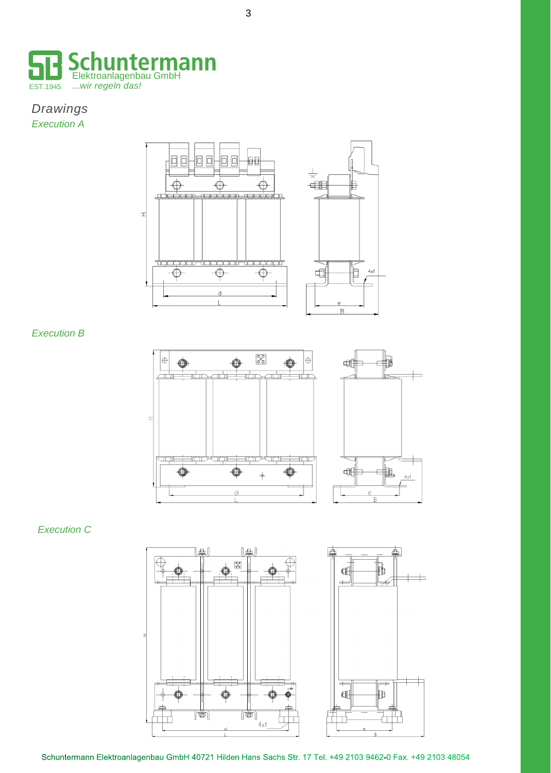

## *Drawings Execution A*



#### *Execution B*



#### *Execution C*